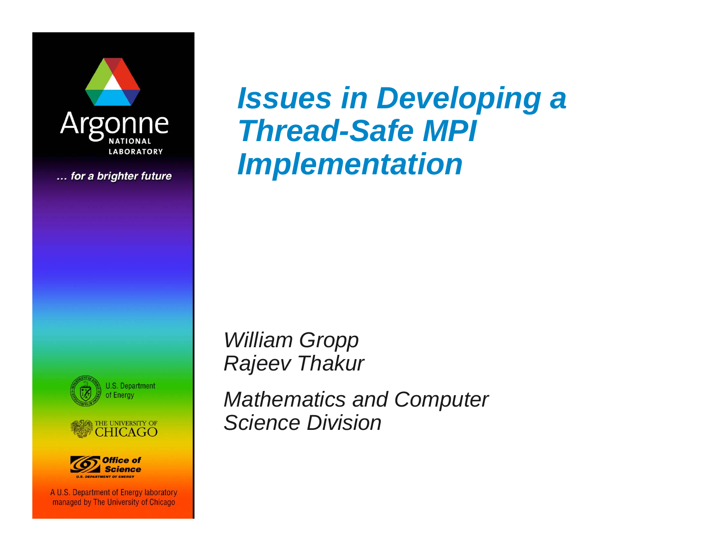

... for a brighter future







A U.S. Department of Energy laboratory managed by The University of Chicago

*Issues in Developing a Thread-Safe MPI Implementation*

*William Gropp Rajeev Thakur*

*Mathematics and Computer Science Division*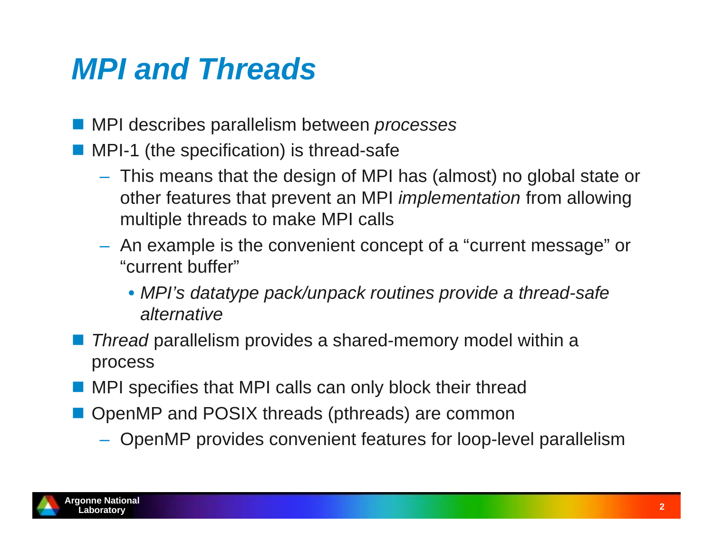# *MPI and Threads*

- MPI describes parallelism between *processes*
- **MPI-1** (the specification) is thread-safe
	- This means that the design of MPI has (almost) no global state or other features that prevent an MPI *implementation* from allowing multiple threads to make MPI calls
	- $-$  An example is the convenient concept of a "current message" or "current buffer"
		- *MPI's datatype pack/unpack routines provide a thread-safe alternative*
- *Thread* parallelism provides a shared-memory model within a process
- **NPI** specifies that MPI calls can only block their thread
- **OpenMP and POSIX threads (pthreads) are common** 
	- OpenMP provides convenient features for loop-level parallelism

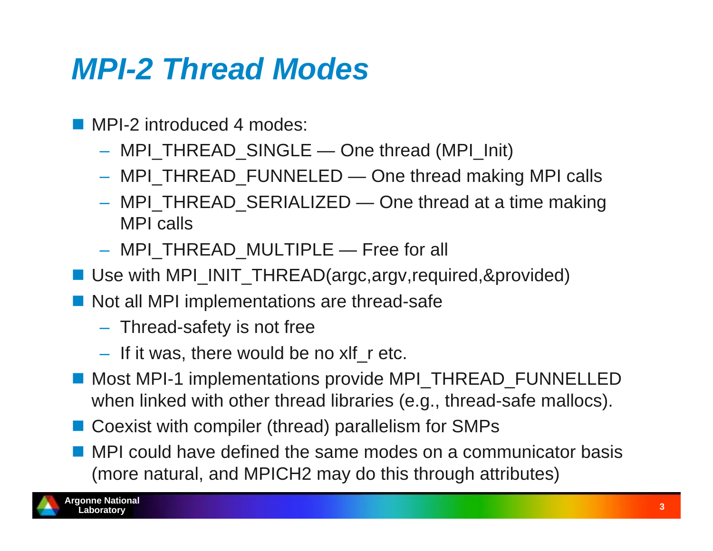### *MPI-2 Thread Modes*

- MPI-2 introduced 4 modes:
	- MPI\_THREAD\_SINGLE One thread (MPI\_Init)
	- MPI\_THREAD\_FUNNELED One thread making MPI calls
	- MPI\_THREAD\_SERIALIZED One thread at a time making MPI calls
	- MPI\_THREAD\_MULTIPLE Free for all
- Use with MPI\_INIT\_THREAD(argc,argv,required,&provided)
- Not all MPI implementations are thread-safe
	- $-$  Thread-safety is not free
	- If it was, there would be no xlf\_r etc.
- Most MPI-1 implementations provide MPI\_THREAD\_FUNNELLED when linked with other thread libraries (e.g., thread-safe mallocs).
- Coexist with compiler (thread) parallelism for SMPs
- **MPI** could have defined the same modes on a communicator basis (more natural, and MPICH2 may do this through attributes)

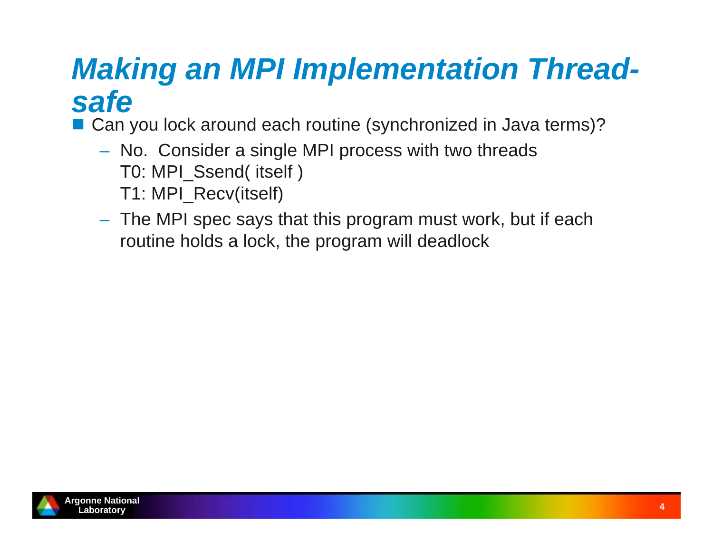# *Making an MPI Implementation Threadsafe*

■ Can you lock around each routine (synchronized in Java terms)?

- No. Consider a single MPI process with two threads T0: MPI\_Ssend( itself ) T1: MPI\_Recv(itself)
- The MPI spec says that this program must work, but if each routine holds a lock, the program will deadlock

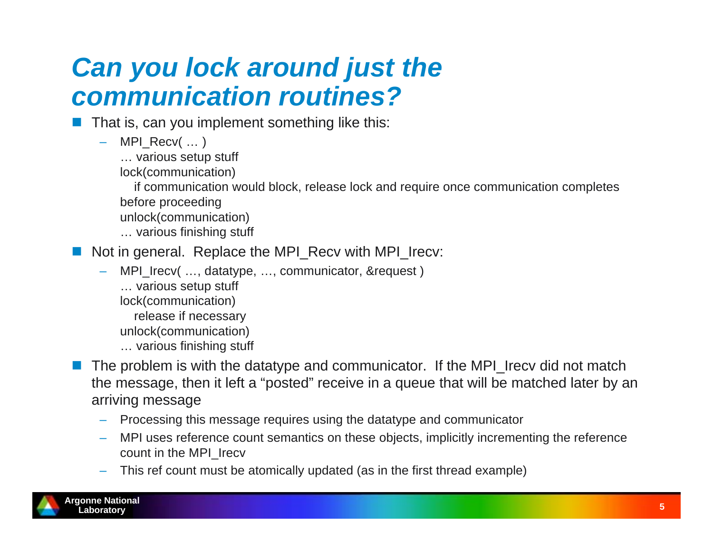#### *Can you lock around just the communication routines?*

- That is, can you implement something like this:
	- – MPI\_Recv( … )
		- … various setup stuff
		- lock(communication)
		- if communication would block, release lock and require once communication completes before proceeding
		- unlock(communication)
		- … various finishing stuff
- F Not in general. Replace the MPI\_Recv with MPI\_Irecv:
	- MPI\_Irecv( …, datatype, …, communicator, &request ) … various setup stuff lock(communication) release if necessary unlock(communication) … various finishing stuff
- F The problem is with the datatype and communicator. If the MPI Irecy did not match the message, then it left a "posted" receive in a queue that will be matched later by an arriving message
	- Processing this message requires using the datatype and communicator
	- MPI uses reference count semantics on these objects, implicitly incrementing the reference count in the MPI\_Irecv
	- This ref count must be atomically updated (as in the first thread example)

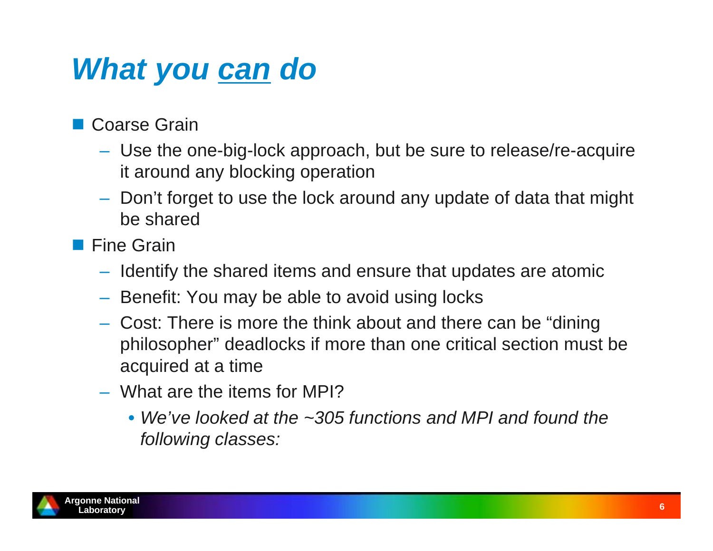# *What you can do*

■ Coarse Grain

- Use the one-big-lock approach, but be sure to release/re-acquire it around any blocking operation
- Don't forget to use the lock around any update of data that might be shared
- **Fine Grain** 
	- $-$  Identify the shared items and ensure that updates are atomic
	- $-$  Benefit: You may be able to avoid using locks
	- Cost: There is more the think about and there can be "dining philosopher" deadlocks if more than one critical section must be acquired at a time
	- What are the items for MPI?
		- *We've looked at the ~305 functions and MPI and found the following classes:*

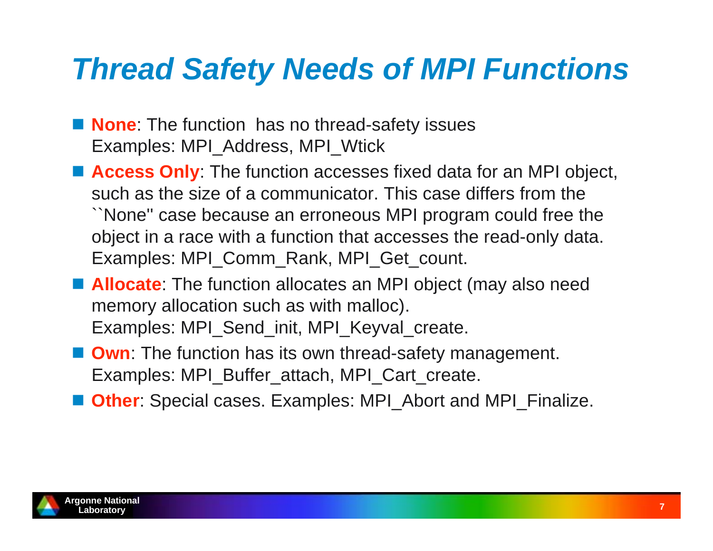### *Thread Safety Needs of MPI Functions*

- **None**: The function has no thread-safety issues Examples: MPI\_Address, MPI\_Wtick
- **Access Only**: The function accesses fixed data for an MPI object, such as the size of a communicator. This case differs from the ``None'' case because an erroneous MPI program could free the object in a race with a function that accesses the read-only data. Examples: MPI\_Comm\_Rank, MPI\_Get\_count.
- **Allocate**: The function allocates an MPI object (may also need memory allocation such as with malloc). Examples: MPI\_Send\_init, MPI\_Keyval\_create.
- **Own:** The function has its own thread-safety management. Examples: MPI\_Buffer\_attach, MPI\_Cart\_create.
- **Other**: Special cases. Examples: MPI\_Abort and MPI\_Finalize.

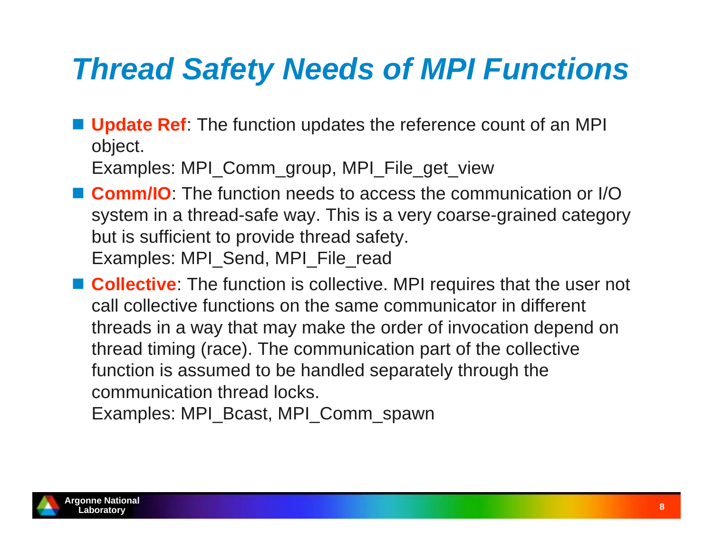# *Thread Safety Needs of MPI Functions*

**Update Ref**: The function updates the reference count of an MPI object.

Examples: MPI\_Comm\_group, MPI\_File\_get\_view

■ Comm/IO: The function needs to access the communication or I/O system in a thread-safe way. This is a very coarse-grained category but is sufficient to provide thread safety. Examples: MPI\_Send, MPI\_File\_read

■ **Collective**: The function is collective. MPI requires that the user not call collective functions on the same communicator in different threads in a way that may make the order of invocation depend on thread timing (race). The communication part of the collective function is assumed to be handled separately through the communication thread locks.

Examples: MPI\_Bcast, MPI\_Comm\_spawn

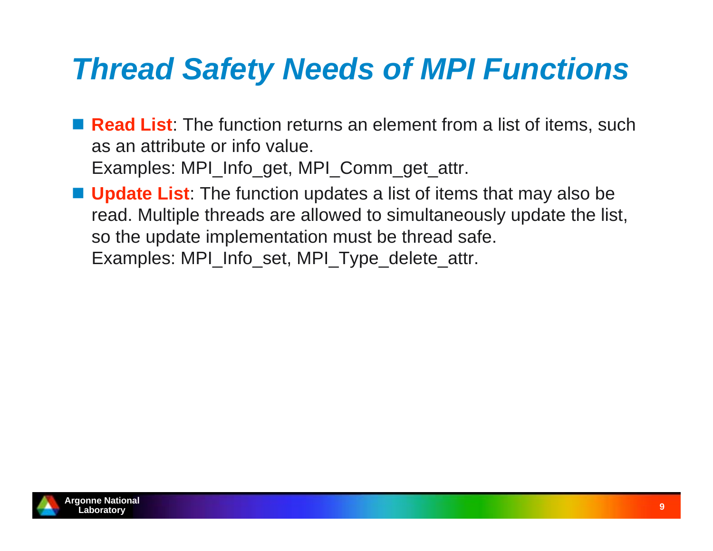# *Thread Safety Needs of MPI Functions*

- **Read List**: The function returns an element from a list of items, such as an attribute or info value. Examples: MPI\_Info\_get, MPI\_Comm\_get\_attr.
- Update List: The function updates a list of items that may also be read. Multiple threads are allowed to simultaneously update the list, so the update implementation must be thread safe. Examples: MPI\_Info\_set, MPI\_Type\_delete\_attr.

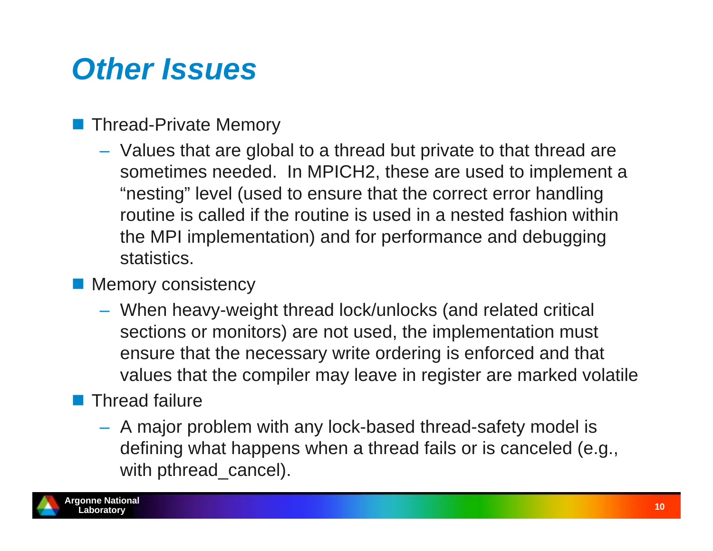# *Other Issues*

#### Thread-Private Memory

 Values that are global to a thread but private to that thread are sometimes needed. In MPICH2, these are used to implement a "nesting" level (used to ensure that the correct error handling routine is called if the routine is used in a nested fashion within the MPI implementation) and for performance and debugging statistics.

#### **Memory consistency**

 When heavy-weight thread lock/unlocks (and related critical sections or monitors) are not used, the implementation must ensure that the necessary write ordering is enforced and that values that the compiler may leave in register are marked volatile

#### $\blacksquare$  Thread failure

 A major problem with any lock-based thread-safety model is defining what happens when a thread fails or is canceled (e.g., with pthread\_cancel).

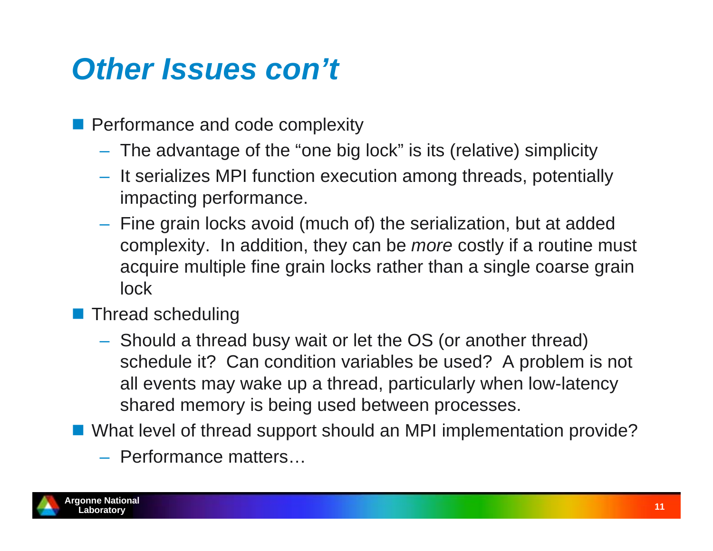# *Other Issues con't*

- **Performance and code complexity** 
	- The advantage of the "one big lock" is its (relative) simplicity
	- $-$  It serializes MPI function execution among threads, potentially impacting performance.
	- $-$  Fine grain locks avoid (much of) the serialization, but at added complexity. In addition, they can be *more* costly if a routine must acquire multiple fine grain locks rather than a single coarse grain lock
- **Thread scheduling** 
	- Should a thread busy wait or let the OS (or another thread) schedule it? Can condition variables be used? A problem is not all events may wake up a thread, particularly when low-latency shared memory is being used between processes.
- What level of thread support should an MPI implementation provide?
	- Performance matters…

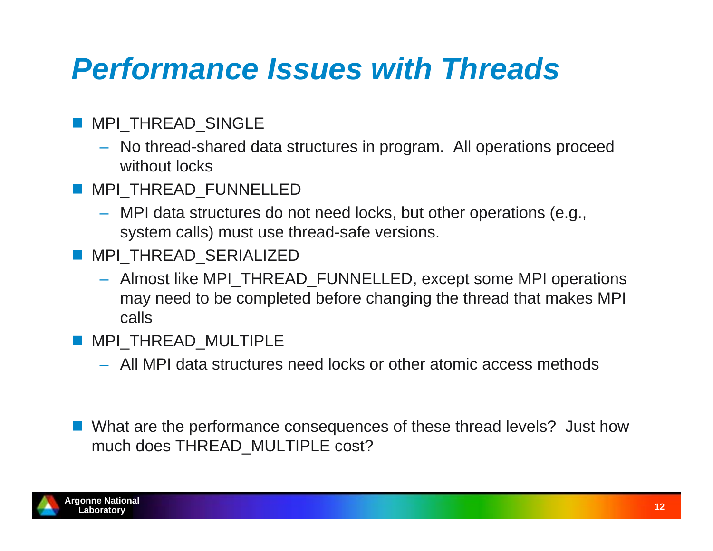# *Performance Issues with Threads*

- MPI\_THREAD\_SINGLE
	- No thread-shared data structures in program. All operations proceed without locks
- **MPI\_THREAD\_FUNNELLED** 
	- MPI data structures do not need locks, but other operations (e.g., system calls) must use thread-safe versions.
- MPI\_THREAD\_SERIALIZED
	- Almost like MPI\_THREAD\_FUNNELLED, except some MPI operations may need to be completed before changing the thread that makes MPI calls
- **MPI\_THREAD\_MULTIPLE** 
	- All MPI data structures need locks or other atomic access methods
- What are the performance consequences of these thread levels? Just how much does THREAD\_MULTIPLE cost?

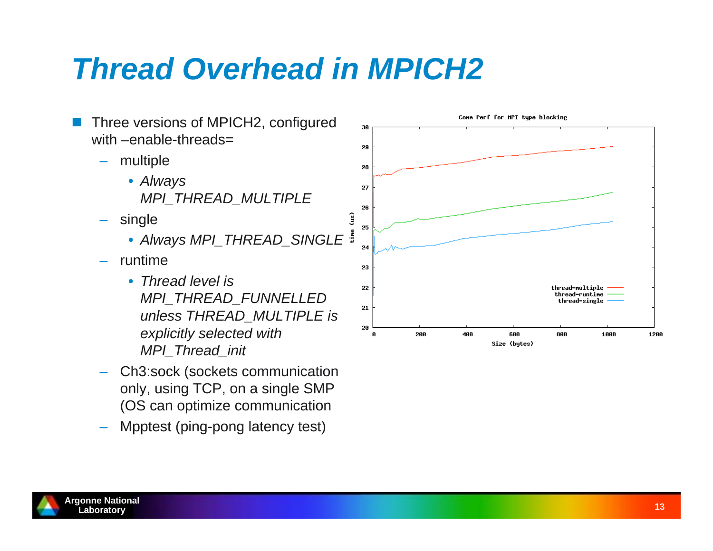# *Thread Overhead in MPICH2*



- Ch3:sock (sockets communication only, using TCP, on a single SMP (OS can optimize communication
- Mpptest (ping-pong latency test)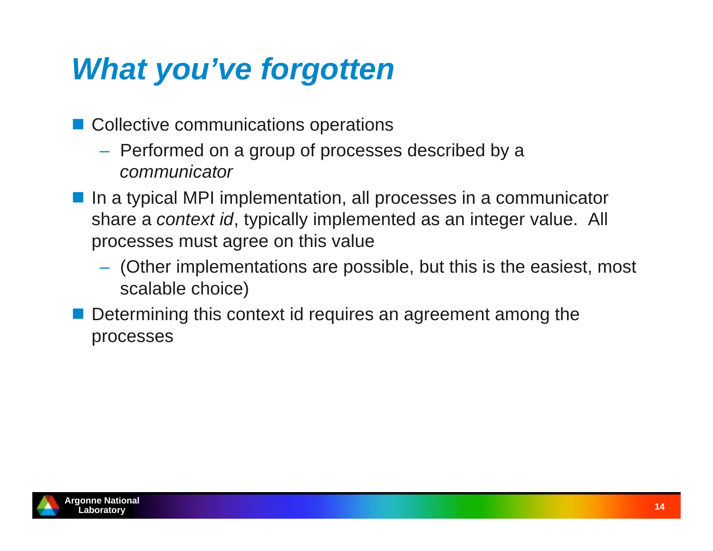# *What you've forgotten*

- Collective communications operations
	- $-$  Performed on a group of processes described by a *communicator*
- In a typical MPI implementation, all processes in a communicator share a *context id*, typically implemented as an integer value. All processes must agree on this value
	- $-$  (Other implementations are possible, but this is the easiest, most scalable choice)
- **Service Service**  Determining this context id requires an agreement among the processes

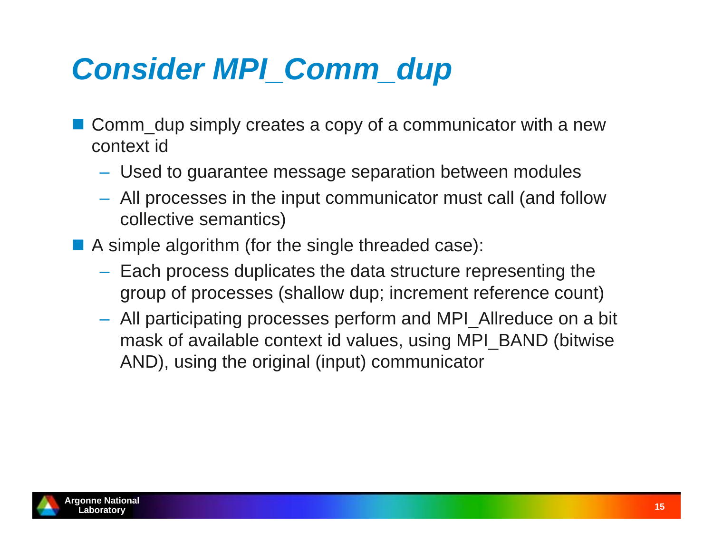# *Consider MPI\_Comm\_dup*

- Comm\_dup simply creates a copy of a communicator with a new context id
	- Used to guarantee message separation between modules
	- All processes in the input communicator must call (and follow collective semantics)
- **A** simple algorithm (for the single threaded case):
	- $-$  Each process duplicates the data structure representing the group of processes (shallow dup; increment reference count)
	- All participating processes perform and MPI\_Allreduce on a bit mask of available context id values, using MPI\_BAND (bitwise AND), using the original (input) communicator

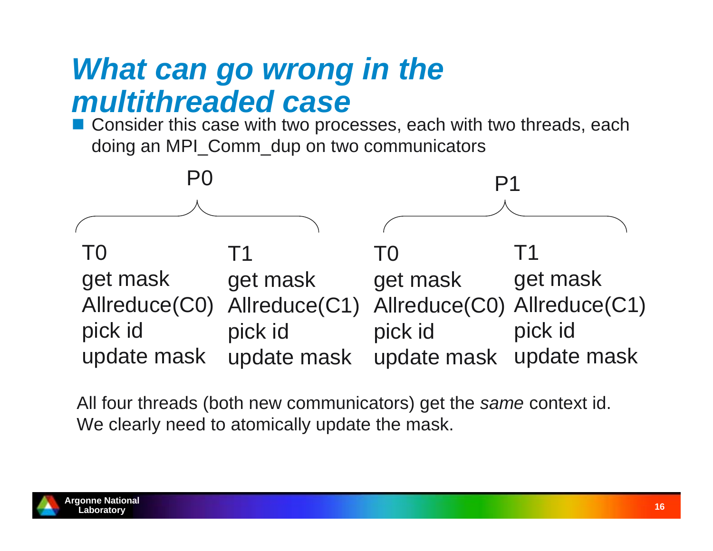#### *What can go wrong in the multithreaded case*

■ Consider this case with two processes, each with two threads, each doing an MPI\_Comm\_dup on two communicators



All four threads (both new communicators) get the *same* context id. We clearly need to atomically update the mask.

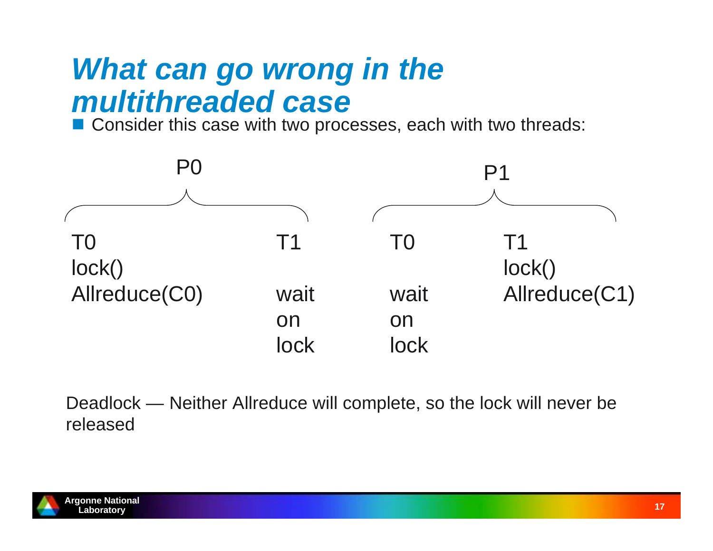#### *What can go wrong in the multithreaded case*

■ Consider this case with two processes, each with two threads:



Deadlock — Neither Allreduce will complete, so the lock will never be released

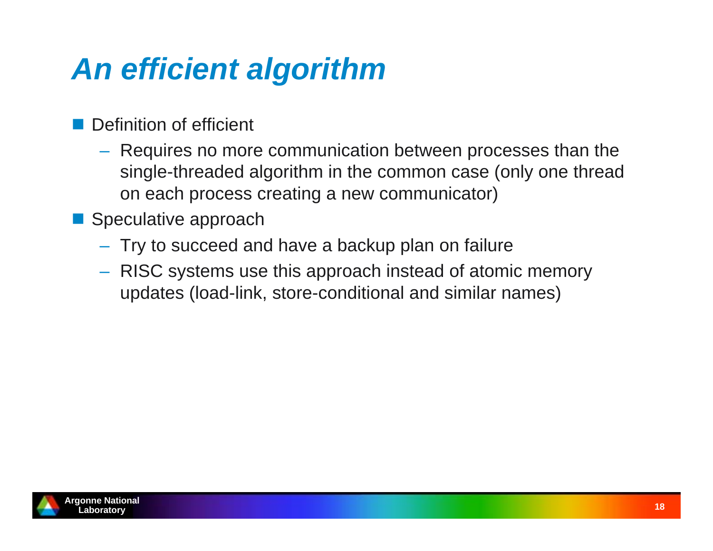# *An efficient algorithm*

- Definition of efficient
	- Requires no more communication between processes than the single-threaded algorithm in the common case (only one thread on each process creating a new communicator)
- Speculative approach
	- $-$  Try to succeed and have a backup plan on failure
	- RISC systems use this approach instead of atomic memory updates (load-link, store-conditional and similar names)

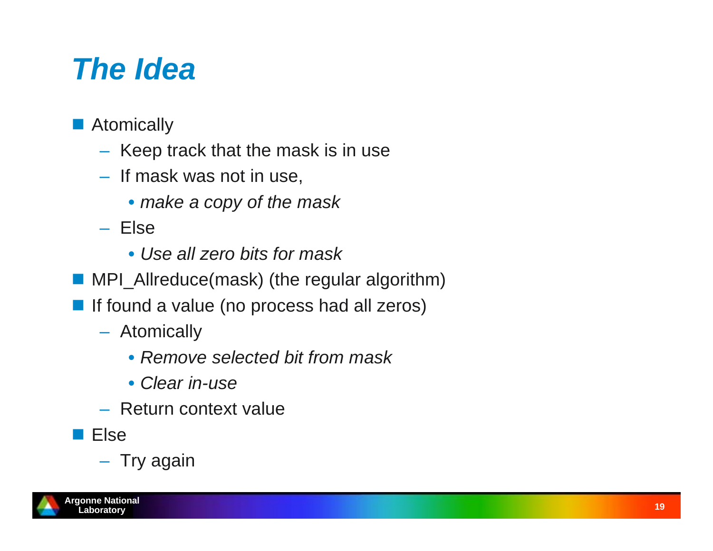# *The Idea*

- **Atomically** 
	- $-$  Keep track that the mask is in use
	- If mask was not in use,
		- *make a copy of the mask*
	- Else
		- *Use all zero bits for mask*
- MPI\_Allreduce(mask) (the regular algorithm)
- **If found a value (no process had all zeros)** 
	- Atomically
		- *Remove selected bit from mask*
		- *Clear in-use*
	- Return context value
- **Else**

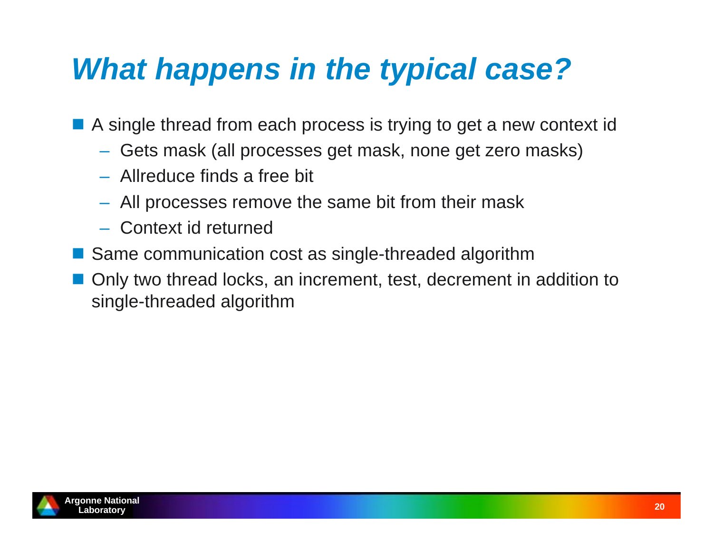# *What happens in the typical case?*

■ A single thread from each process is trying to get a new context id

- Gets mask (all processes get mask, none get zero masks)
- Allreduce finds a free bit
- All processes remove the same bit from their mask
- Context id returned
- Same communication cost as single-threaded algorithm
- Only two thread locks, an increment, test, decrement in addition to single-threaded algorithm

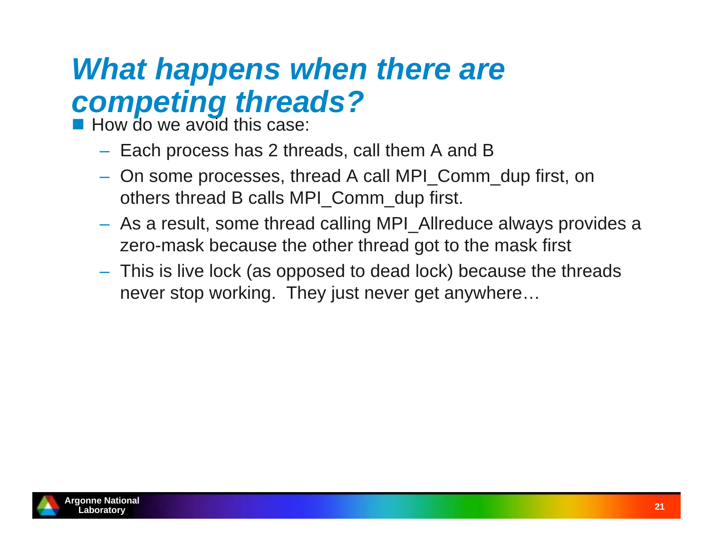### *What happens when there are competing threads?*

**How do we avoid this case:** 

- $-$  Each process has 2 threads, call them A and B
- On some processes, thread A call MPI\_Comm\_dup first, on others thread B calls MPI\_Comm\_dup first.
- As a result, some thread calling MPI\_Allreduce always provides a zero-mask because the other thread got to the mask first
- This is live lock (as opposed to dead lock) because the threads never stop working. They just never get anywhere…

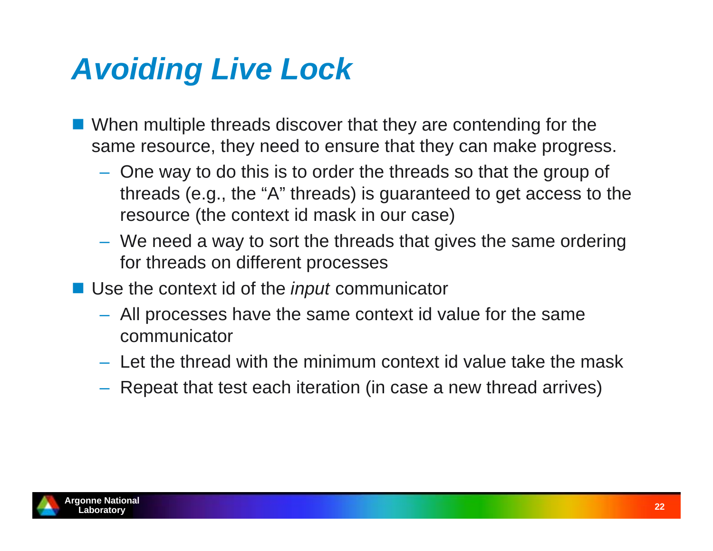# *Avoiding Live Lock*

- **Notally 10 When multiple threads discover that they are contending for the** same resource, they need to ensure that they can make progress.
	- One way to do this is to order the threads so that the group of threads (e.g., the "A" threads) is guaranteed to get access to the resource (the context id mask in our case)
	- We need a way to sort the threads that gives the same ordering for threads on different processes
- Use the context id of the *input* communicator
	- All processes have the same context id value for the same communicator
	- Let the thread with the minimum context id value take the mask
	- $-$  Repeat that test each iteration (in case a new thread arrives)

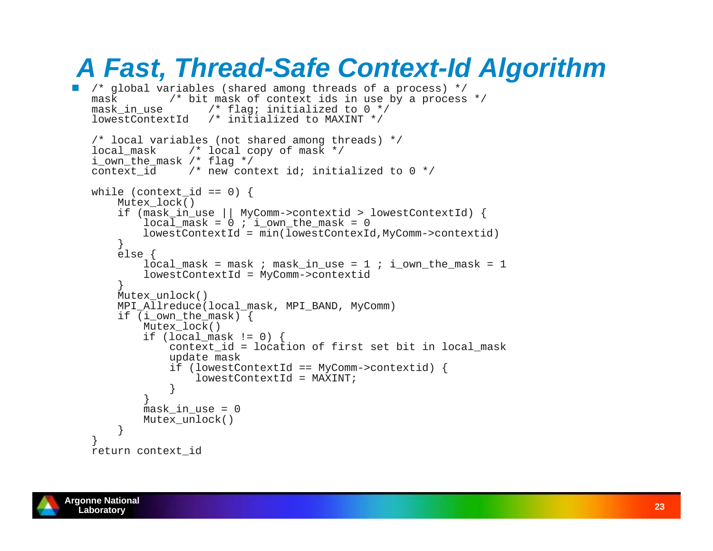#### *A Fast, Thread-Safe Context-Id Algorithm*

```
 /* global variables (shared among threads of a process) */
mask /* bit mask of context ids in use by a process */
mask in use /* flag; initialized to 0 */
lowestContextId /* initialized to MAXINT */
/* local variables (not shared among threads) */
local mask /* local copy of mask */
i_own_the_mask /* flag */
context id /* new context id; initialized to 0 */while (context id == 0) {
     Mutex_lock()
     if (mask_in_use || MyComm->contextid > lowestContextId) {
        local\_mask = 0 ; i\_own\_the\_mask = 0 lowestContextId = min(lowestContexId,MyComm->contextid)
     } else {
        local mask = mask ; mask in use = 1 ; i own the mask = 1
         lowestContextId = MyComm->contextid
  }
     Mutex_unlock()
    MPI_Allreduce(local_mask, MPI_BAND, MyComm)
    if (i own the mask) {
         Mutex_lock()
        if (local mask != 0) {
             context_id = location of first set bit in local_mask
             update mask
             if (lowestContextId == MyComm->contextid) {
                 lowestContextId = MAXINT;
  } }
        mask_in_use = 0 Mutex_unlock()
  } }
return context_id
```